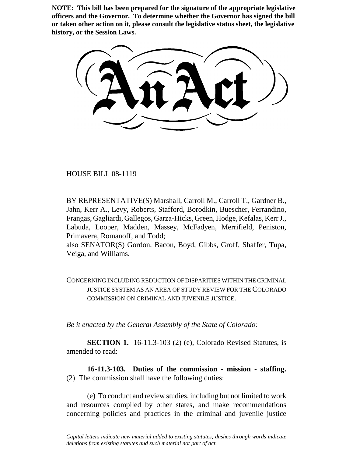**NOTE: This bill has been prepared for the signature of the appropriate legislative officers and the Governor. To determine whether the Governor has signed the bill or taken other action on it, please consult the legislative status sheet, the legislative history, or the Session Laws.**

HOUSE BILL 08-1119

\_\_\_\_\_\_\_\_

BY REPRESENTATIVE(S) Marshall, Carroll M., Carroll T., Gardner B., Jahn, Kerr A., Levy, Roberts, Stafford, Borodkin, Buescher, Ferrandino, Frangas, Gagliardi, Gallegos, Garza-Hicks, Green, Hodge, Kefalas, Kerr J., Labuda, Looper, Madden, Massey, McFadyen, Merrifield, Peniston, Primavera, Romanoff, and Todd;

also SENATOR(S) Gordon, Bacon, Boyd, Gibbs, Groff, Shaffer, Tupa, Veiga, and Williams.

CONCERNING INCLUDING REDUCTION OF DISPARITIES WITHIN THE CRIMINAL JUSTICE SYSTEM AS AN AREA OF STUDY REVIEW FOR THE COLORADO COMMISSION ON CRIMINAL AND JUVENILE JUSTICE.

*Be it enacted by the General Assembly of the State of Colorado:*

**SECTION 1.** 16-11.3-103 (2) (e), Colorado Revised Statutes, is amended to read:

**16-11.3-103. Duties of the commission - mission - staffing.** (2) The commission shall have the following duties:

(e) To conduct and review studies, including but not limited to work and resources compiled by other states, and make recommendations concerning policies and practices in the criminal and juvenile justice

*Capital letters indicate new material added to existing statutes; dashes through words indicate deletions from existing statutes and such material not part of act.*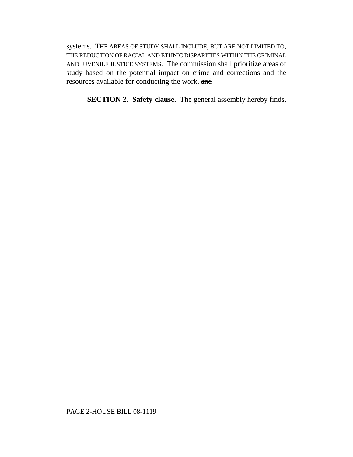systems. THE AREAS OF STUDY SHALL INCLUDE, BUT ARE NOT LIMITED TO, THE REDUCTION OF RACIAL AND ETHNIC DISPARITIES WITHIN THE CRIMINAL AND JUVENILE JUSTICE SYSTEMS. The commission shall prioritize areas of study based on the potential impact on crime and corrections and the resources available for conducting the work. and

**SECTION 2. Safety clause.** The general assembly hereby finds,